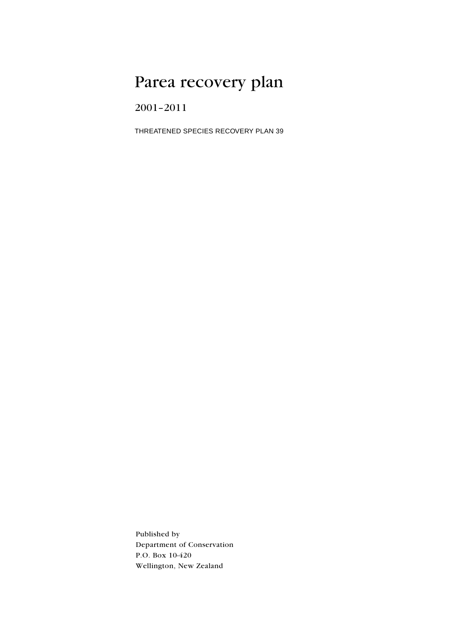# Parea recovery plan

2001-2011

THREATENED SPECIES RECOVERY PLAN 39

Published by Department of Conservation P.O. Box 10-420 Wellington, New Zealand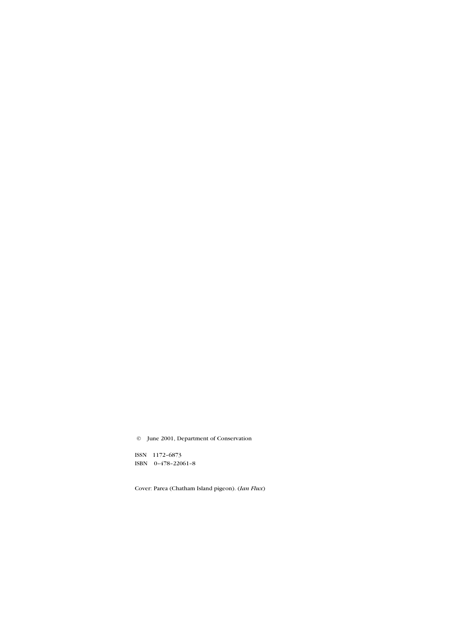© June 2001, Department of Conservation

ISSN 1172-6873 ISBN 0-478-22061-8

Cover: Parea (Chatham Island pigeon). (Ian Flux)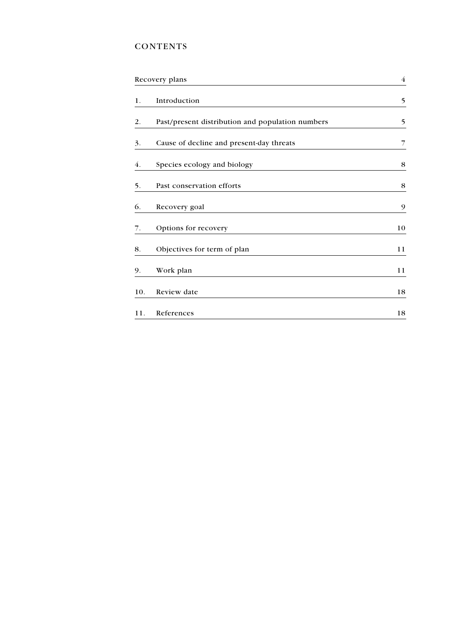## **CONTENTS**

| Recovery plans |                                                  | $\overline{4}$ |  |
|----------------|--------------------------------------------------|----------------|--|
| 1.             | Introduction                                     | 5              |  |
| 2.             | Past/present distribution and population numbers | 5              |  |
| 3.             | Cause of decline and present-day threats         | 7              |  |
| 4.             | Species ecology and biology                      | 8              |  |
| 5.             | Past conservation efforts                        | 8              |  |
| 6.             | Recovery goal                                    | 9              |  |
| 7.             | Options for recovery                             | 10             |  |
| 8.             | Objectives for term of plan                      | 11             |  |
| 9.             | Work plan                                        | 11             |  |
| 10.            | Review date                                      | 18             |  |
| 11.            | References                                       | 18             |  |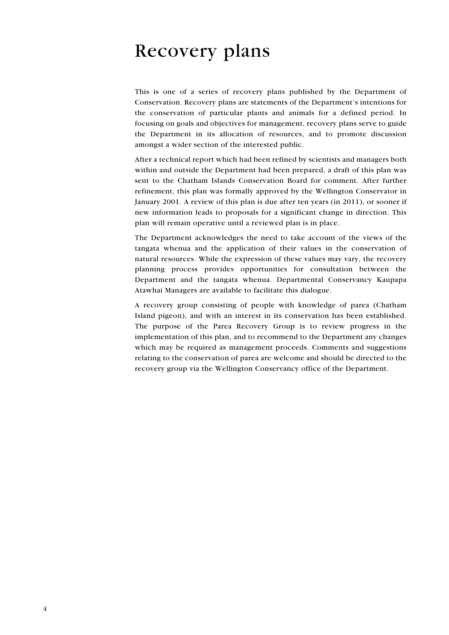# <span id="page-3-0"></span>**Recovery plans**

This is one of a series of recovery plans published by the Department of Conservation. Recovery plans are statements of the Department's intentions for the conservation of particular plants and animals for a defined period. In focusing on goals and objectives for management, recovery plans serve to guide the Department in its allocation of resources, and to promote discussion amongst a wider section of the interested public.

After a technical report which had been refined by scientists and managers both within and outside the Department had been prepared, a draft of this plan was sent to the Chatham Islands Conservation Board for comment. After further refinement, this plan was formally approved by the Wellington Conservator in January 2001. A review of this plan is due after ten years (in 2011), or sooner if new information leads to proposals for a significant change in direction. This plan will remain operative until a reviewed plan is in place.

The Department acknowledges the need to take account of the views of the tangata whenua and the application of their values in the conservation of natural resources. While the expression of these values may vary, the recovery planning process provides opportunities for consultation between the Department and the tangata whenua. Departmental Conservancy Kaupapa Atawhai Managers are available to facilitate this dialogue.

A recovery group consisting of people with knowledge of parea (Chatham Island pigeon), and with an interest in its conservation has been established. The purpose of the Parea Recovery Group is to review progress in the implementation of this plan, and to recommend to the Department any changes which may be required as management proceeds. Comments and suggestions relating to the conservation of parea are welcome and should be directed to the recovery group via the Wellington Conservancy office of the Department.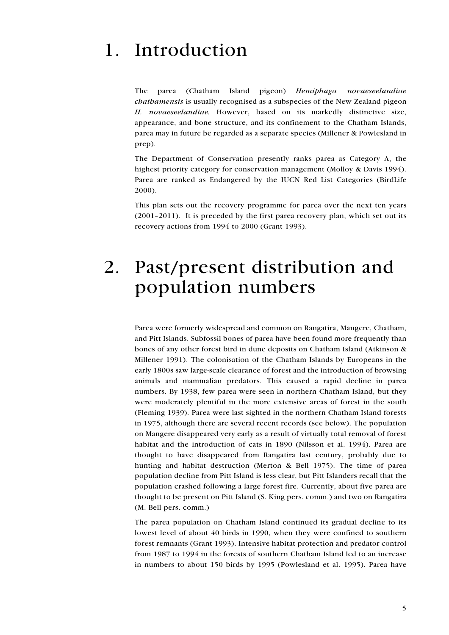### <span id="page-4-0"></span>Introduction  $\mathbf{1}$

parea (Chatham Island pigeon) Hemiphaga novaeseelandiae The *chathamensis* is usually recognised as a subspecies of the New Zealand pigeon H. novaeseelandiae. However, based on its markedly distinctive size, appearance, and bone structure, and its confinement to the Chatham Islands. parea may in future be regarded as a separate species (Millener & Powlesland in prep).

The Department of Conservation presently ranks parea as Category A, the highest priority category for conservation management (Molloy & Davis 1994). Parea are ranked as Endangered by the IUCN Red List Categories (BirdLife 2000).

This plan sets out the recovery programme for parea over the next ten years (2001-2011). It is preceded by the first parea recovery plan, which set out its recovery actions from 1994 to 2000 (Grant 1993).

## Past/present distribution and  $2.$ population numbers

Parea were formerly widespread and common on Rangatira, Mangere, Chatham, and Pitt Islands. Subfossil bones of parea have been found more frequently than bones of any other forest bird in dune deposits on Chatham Island (Atkinson & Millener 1991). The colonisation of the Chatham Islands by Europeans in the early 1800s saw large-scale clearance of forest and the introduction of browsing animals and mammalian predators. This caused a rapid decline in parea numbers. By 1938, few parea were seen in northern Chatham Island, but they were moderately plentiful in the more extensive areas of forest in the south (Fleming 1939). Parea were last sighted in the northern Chatham Island forests in 1975, although there are several recent records (see below). The population on Mangere disappeared very early as a result of virtually total removal of forest habitat and the introduction of cats in 1890 (Nilsson et al. 1994). Parea are thought to have disappeared from Rangatira last century, probably due to hunting and habitat destruction (Merton & Bell 1975). The time of parea population decline from Pitt Island is less clear, but Pitt Islanders recall that the population crashed following a large forest fire. Currently, about five parea are thought to be present on Pitt Island (S. King pers. comm.) and two on Rangatira (M. Bell pers. comm.)

The parea population on Chatham Island continued its gradual decline to its lowest level of about 40 birds in 1990, when they were confined to southern forest remnants (Grant 1993). Intensive habitat protection and predator control from 1987 to 1994 in the forests of southern Chatham Island led to an increase in numbers to about 150 birds by 1995 (Powlesland et al. 1995). Parea have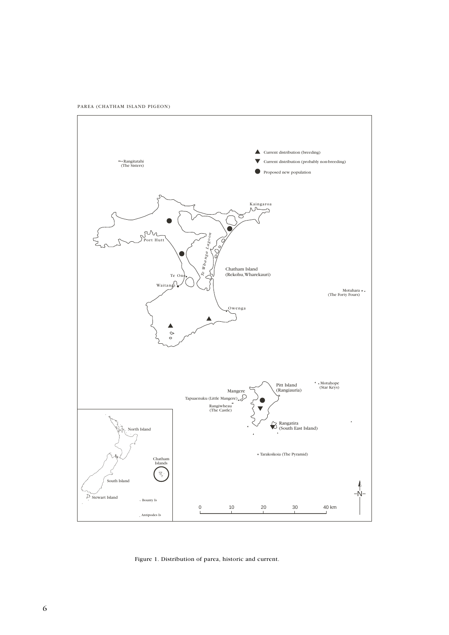PAREA (CHATHAM ISLAND PIGEON)



Figure 1. Distribution of parea, historic and current.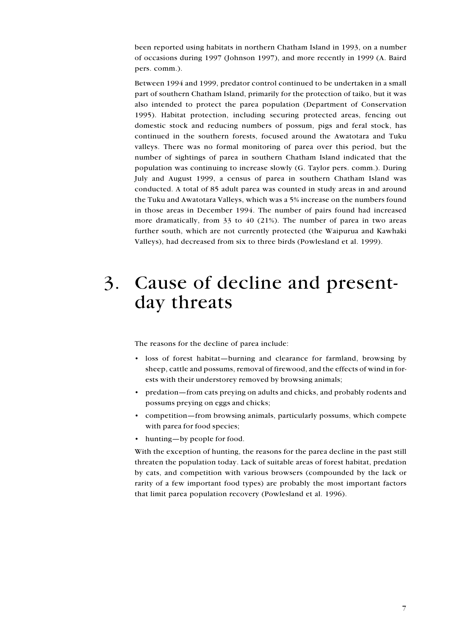<span id="page-6-0"></span>been reported using habitats in northern Chatham Island in 1993, on a number of occasions during 1997 (Johnson 1997), and more recently in 1999 (A. Baird pers. comm.).

Between 1994 and 1999, predator control continued to be undertaken in a small part of southern Chatham Island, primarily for the protection of taiko, but it was also intended to protect the parea population (Department of Conservation 1995). Habitat protection, including securing protected areas, fencing out domestic stock and reducing numbers of possum, pigs and feral stock, has continued in the southern forests, focused around the Awatotara and Tuku valleys. There was no formal monitoring of parea over this period, but the number of sightings of parea in southern Chatham Island indicated that the population was continuing to increase slowly (G. Taylor pers. comm.). During July and August 1999, a census of parea in southern Chatham Island was conducted. A total of 85 adult parea was counted in study areas in and around the Tuku and Awatotara Valleys, which was a 5% increase on the numbers found in those areas in December 1994. The number of pairs found had increased more dramatically, from 33 to 40 (21%). The number of parea in two areas further south, which are not currently protected (the Waipurua and Kawhaki Valleys), had decreased from six to three birds (Powlesland et al. 1999).

## Cause of decline and present- $\mathfrak{Z}.$ day threats

The reasons for the decline of parea include:

- · loss of forest habitat-burning and clearance for farmland, browsing by sheep, cattle and possums, removal of firewood, and the effects of wind in forests with their understorey removed by browsing animals;
- predation—from cats preying on adults and chicks, and probably rodents and possums preying on eggs and chicks;
- competition—from browsing animals, particularly possums, which compete with parea for food species;
- hunting—by people for food.

With the exception of hunting, the reasons for the parea decline in the past still threaten the population today. Lack of suitable areas of forest habitat, predation by cats, and competition with various browsers (compounded by the lack or rarity of a few important food types) are probably the most important factors that limit parea population recovery (Powlesland et al. 1996).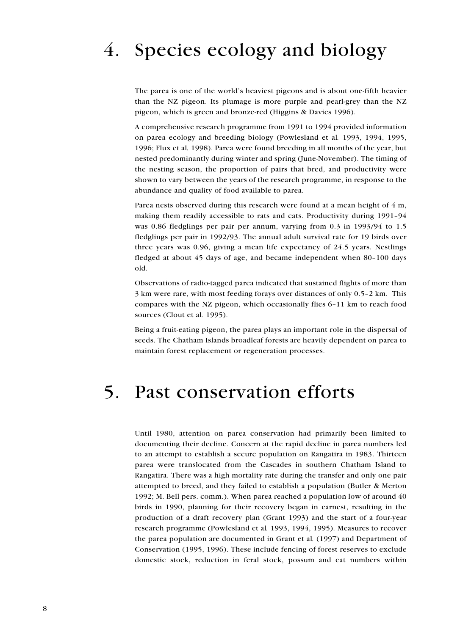## <span id="page-7-0"></span> $\overline{4}$ . Species ecology and biology

The parea is one of the world's heaviest pigeons and is about one-fifth heavier than the NZ pigeon. Its plumage is more purple and pearl-grey than the NZ pigeon, which is green and bronze-red (Higgins & Davies 1996).

A comprehensive research programme from 1991 to 1994 provided information on parea ecology and breeding biology (Powlesland et al. 1993, 1994, 1995, 1996; Flux et al. 1998). Parea were found breeding in all months of the year, but nested predominantly during winter and spring (June-November). The timing of the nesting season, the proportion of pairs that bred, and productivity were shown to vary between the years of the research programme, in response to the abundance and quality of food available to parea.

Parea nests observed during this research were found at a mean height of 4 m. making them readily accessible to rats and cats. Productivity during 1991-94 was 0.86 fledglings per pair per annum, varying from 0.3 in 1993/94 to 1.5 fledglings per pair in 1992/93. The annual adult survival rate for 19 birds over three years was  $0.96$ , giving a mean life expectancy of  $24.5$  years. Nestlings fledged at about 45 days of age, and became independent when 80-100 days old.

Observations of radio-tagged parea indicated that sustained flights of more than 3 km were rare, with most feeding for a solution over distances of only 0.5-2 km. This compares with the NZ pigeon, which occasionally flies 6-11 km to reach food sources (Clout et al. 1995).

Being a fruit-eating pigeon, the parea plays an important role in the dispersal of seeds. The Chatham Islands broadleaf forests are heavily dependent on parea to maintain forest replacement or regeneration processes.

#### Past conservation efforts  $5<sub>1</sub>$

Until 1980, attention on parea conservation had primarily been limited to documenting their decline. Concern at the rapid decline in parea numbers led to an attempt to establish a secure population on Rangatira in 1983. Thirteen parea were translocated from the Cascades in southern Chatham Island to Rangatira. There was a high mortality rate during the transfer and only one pair attempted to breed, and they failed to establish a population (Butler & Merton 1992; M. Bell pers. comm.). When parea reached a population low of around 40 birds in 1990, planning for their recovery began in earnest, resulting in the production of a draft recovery plan (Grant 1993) and the start of a four-year research programme (Powlesland et al. 1993, 1994, 1995). Measures to recover the parea population are documented in Grant et al. (1997) and Department of Conservation (1995, 1996). These include fencing of forest reserves to exclude domestic stock, reduction in feral stock, possum and cat numbers within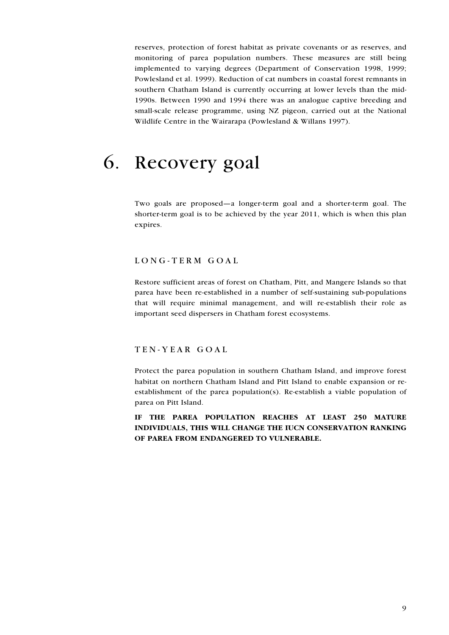<span id="page-8-0"></span>reserves, protection of forest habitat as private covenants or as reserves, and monitoring of parea population numbers. These measures are still being implemented to varying degrees (Department of Conservation 1998, 1999; Powlesland et al. 1999). Reduction of cat numbers in coastal forest remnants in southern Chatham Island is currently occurring at lower levels than the mid-1990s. Between 1990 and 1994 there was an analogue captive breeding and small-scale release programme, using NZ pigeon, carried out at the National Wildlife Centre in the Wairarapa (Powlesland & Willans 1997).

## Recovery goal  $6_{\cdot}$

Two goals are proposed-a longer-term goal and a shorter-term goal. The shorter-term goal is to be achieved by the year 2011, which is when this plan expires.

## LONG-TERM GOAL

Restore sufficient areas of forest on Chatham, Pitt, and Mangere Islands so that parea have been re-established in a number of self-sustaining sub-populations that will require minimal management, and will re-establish their role as important seed dispersers in Chatham forest ecosystems.

#### TEN-YEAR GOAL

Protect the parea population in southern Chatham Island, and improve forest habitat on northern Chatham Island and Pitt Island to enable expansion or reestablishment of the parea population(s). Re-establish a viable population of parea on Pitt Island.

IF THE PAREA POPULATION REACHES AT LEAST 250 MATURE INDIVIDUALS, THIS WILL CHANGE THE IUCN CONSERVATION RANKING OF PAREA FROM ENDANGERED TO VULNERABLE.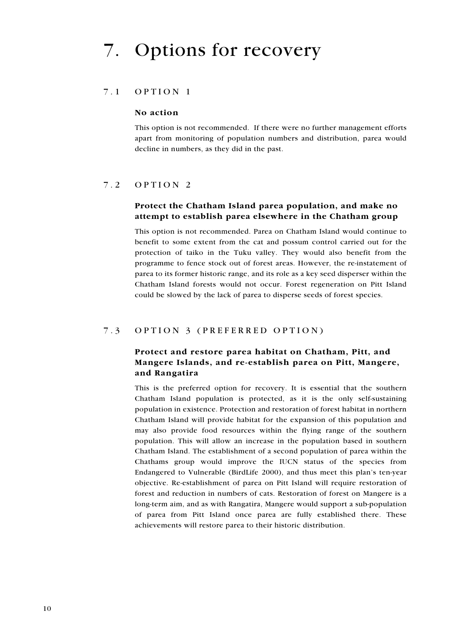#### $7.1$ OPTION 1

#### No action

This option is not recommended. If there were no further management efforts apart from monitoring of population numbers and distribution, parea would decline in numbers, as they did in the past.

#### $7.2$ OPTION<sub>2</sub>

### Protect the Chatham Island parea population, and make no attempt to establish parea elsewhere in the Chatham group

This option is not recommended. Parea on Chatham Island would continue to benefit to some extent from the cat and possum control carried out for the protection of taiko in the Tuku valley. They would also benefit from the programme to fence stock out of forest areas. However, the re-instatement of parea to its former historic range, and its role as a key seed disperser within the Chatham Island forests would not occur. Forest regeneration on Pitt Island could be slowed by the lack of parea to disperse seeds of forest species.

#### $7.3$ OPTION 3 (PREFERRED OPTION)

## Protect and restore parea habitat on Chatham, Pitt, and Mangere Islands, and re-establish parea on Pitt, Mangere, and Rangatira

This is the preferred option for recovery. It is essential that the southern Chatham Island population is protected, as it is the only self-sustaining population in existence. Protection and restoration of forest habitat in northern Chatham Island will provide habitat for the expansion of this population and may also provide food resources within the flying range of the southern population. This will allow an increase in the population based in southern Chatham Island. The establishment of a second population of parea within the Chathams group would improve the IUCN status of the species from Endangered to Vulnerable (BirdLife 2000), and thus meet this plan's ten-year objective. Re-establishment of parea on Pitt Island will require restoration of forest and reduction in numbers of cats. Restoration of forest on Mangere is a long-term aim, and as with Rangatira, Mangere would support a sub-population of parea from Pitt Island once parea are fully established there. These achievements will restore parea to their historic distribution.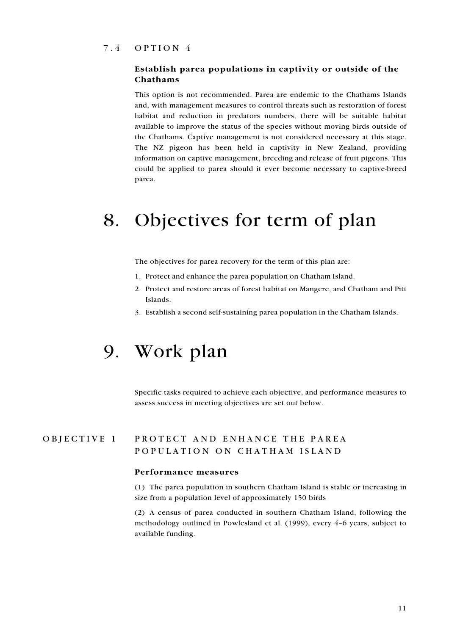#### <span id="page-10-0"></span> $7.4$ OPTION<sub>4</sub>

### Establish parea populations in captivity or outside of the Chathams

This option is not recommended. Parea are endemic to the Chathams Islands and, with management measures to control threats such as restoration of forest habitat and reduction in predators numbers, there will be suitable habitat available to improve the status of the species without moving birds outside of the Chathams. Captive management is not considered necessary at this stage. The NZ pigeon has been held in captivity in New Zealand, providing information on captive management, breeding and release of fruit pigeons. This could be applied to parea should it ever become necessary to captive-breed parea.

# 8. Objectives for term of plan

The objectives for parea recovery for the term of this plan are:

- 1. Protect and enhance the parea population on Chatham Island.
- 2. Protect and restore areas of forest habitat on Mangere, and Chatham and Pitt Islands
- 3. Establish a second self-sustaining parea population in the Chatham Islands.

## 9. Work plan

Specific tasks required to achieve each objective, and performance measures to assess success in meeting objectives are set out below.

#### PROTECT AND ENHANCE THE PAREA OBJECTIVE 1 POPULATION ON CHATHAM ISLAND

#### Performance measures

(1) The parea population in southern Chatham Island is stable or increasing in size from a population level of approximately 150 birds

(2) A census of parea conducted in southern Chatham Island, following the methodology outlined in Powlesland et al. (1999), every 4-6 years, subject to available funding.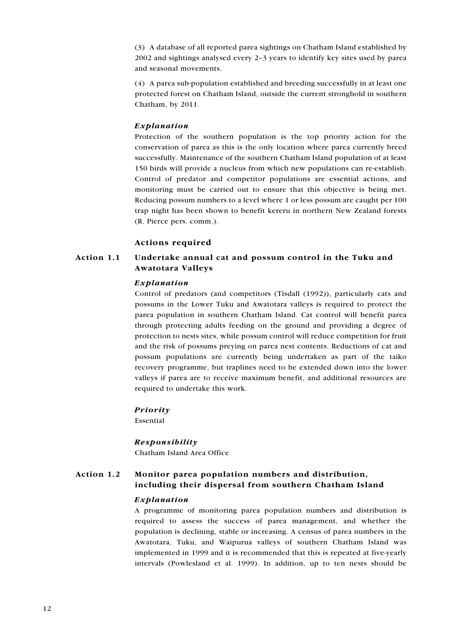(3) A database of all reported parea sightings on Chatham Island established by 2002 and sightings analysed every 2-3 years to identify key sites used by parea and seasonal movements.

(4) A parea sub-population established and breeding successfully in at least one protected forest on Chatham Island, outside the current stronghold in southern Chatham, by 2011.

#### Explanation

Protection of the southern population is the top priority action for the conservation of parea as this is the only location where parea currently breed successfully. Maintenance of the southern Chatham Island population of at least 150 birds will provide a nucleus from which new populations can re-establish. Control of predator and competitor populations are essential actions, and monitoring must be carried out to ensure that this objective is being met. Reducing possum numbers to a level where 1 or less possum are caught per 100 trap night has been shown to benefit kereru in northern New Zealand forests (R. Pierce pers. comm.).

#### **Actions required**

#### Action 1.1 Undertake annual cat and possum control in the Tuku and Awatotara Valleys

#### Explanation

Control of predators (and competitors (Tisdall (1992)), particularly cats and possums in the Lower Tuku and Awatotara valleys is required to protect the parea population in southern Chatham Island. Cat control will benefit parea through protecting adults feeding on the ground and providing a degree of protection to nests sites, while possum control will reduce competition for fruit and the risk of possums preying on parea nest contents. Reductions of cat and possum populations are currently being undertaken as part of the taiko recovery programme, but traplines need to be extended down into the lower valleys if parea are to receive maximum benefit, and additional resources are required to undertake this work.

#### Priority

Essential

#### Responsibility

Chatham Island Area Office

#### Action 1.2 Monitor parea population numbers and distribution, including their dispersal from southern Chatham Island

#### Explanation

A programme of monitoring parea population numbers and distribution is required to assess the success of parea management, and whether the population is declining, stable or increasing. A census of parea numbers in the Awatotara, Tuku, and Waipurua valleys of southern Chatham Island was implemented in 1999 and it is recommended that this is repeated at five-yearly intervals (Powlesland et al. 1999). In addition, up to ten nests should be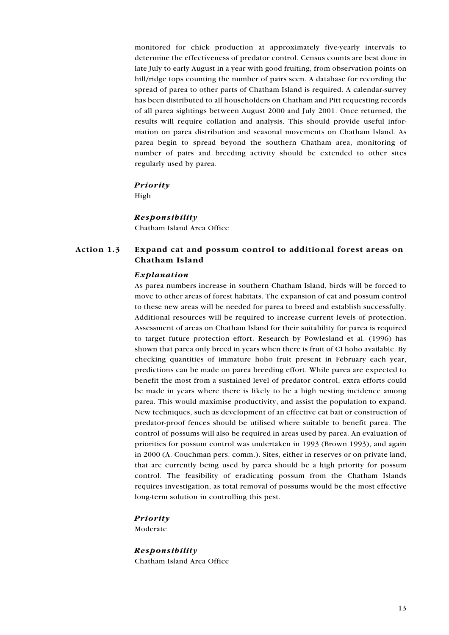monitored for chick production at approximately five-yearly intervals to determine the effectiveness of predator control. Census counts are best done in late July to early August in a year with good fruiting, from observation points on hill/ridge tops counting the number of pairs seen. A database for recording the spread of parea to other parts of Chatham Island is required. A calendar-survey has been distributed to all householders on Chatham and Pitt requesting records of all parea sightings between August 2000 and July 2001. Once returned, the results will require collation and analysis. This should provide useful information on parea distribution and seasonal movements on Chatham Island. As parea begin to spread beyond the southern Chatham area, monitoring of number of pairs and breeding activity should be extended to other sites regularly used by parea.

#### **Priority**

High

#### Responsibility

Chatham Island Area Office

#### Action 1.3 Expand cat and possum control to additional forest areas on Chatham Island

#### Explanation

As parea numbers increase in southern Chatham Island, birds will be forced to move to other areas of forest habitats. The expansion of cat and possum control to these new areas will be needed for parea to breed and establish successfully. Additional resources will be required to increase current levels of protection. Assessment of areas on Chatham Island for their suitability for parea is required to target future protection effort. Research by Powlesland et al. (1996) has shown that parea only breed in years when there is fruit of CI hoho available. By checking quantities of immature hoho fruit present in February each year, predictions can be made on parea breeding effort. While parea are expected to benefit the most from a sustained level of predator control, extra efforts could be made in years where there is likely to be a high nesting incidence among parea. This would maximise productivity, and assist the population to expand. New techniques, such as development of an effective cat bait or construction of predator-proof fences should be utilised where suitable to benefit parea. The control of possums will also be required in areas used by parea. An evaluation of priorities for possum control was undertaken in 1993 (Brown 1993), and again in 2000 (A. Couchman pers. comm.). Sites, either in reserves or on private land, that are currently being used by parea should be a high priority for possum control. The feasibility of eradicating possum from the Chatham Islands requires investigation, as total removal of possums would be the most effective long-term solution in controlling this pest.

## Priority

Moderate

Responsibility Chatham Island Area Office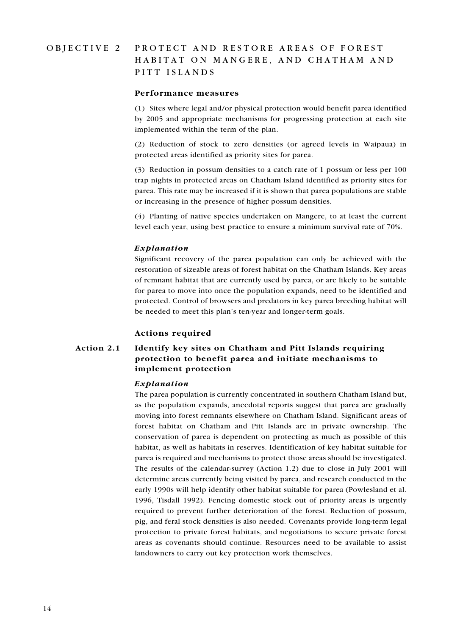#### OBJECTIVE 2 PROTECT AND RESTORE AREAS OF FOREST HABITAT ON MANGERE, AND CHATHAM AND PITT ISLANDS

#### Performance measures

(1) Sites where legal and/or physical protection would benefit parea identified by 2005 and appropriate mechanisms for progressing protection at each site implemented within the term of the plan.

(2) Reduction of stock to zero densities (or agreed levels in Waipaua) in protected areas identified as priority sites for parea.

(3) Reduction in possum densities to a catch rate of 1 possum or less per 100 trap nights in protected areas on Chatham Island identified as priority sites for parea. This rate may be increased if it is shown that parea populations are stable or increasing in the presence of higher possum densities.

(4) Planting of native species undertaken on Mangere, to at least the current level each year, using best practice to ensure a minimum survival rate of 70%.

#### Explanation

Significant recovery of the parea population can only be achieved with the restoration of sizeable areas of forest habitat on the Chatham Islands. Key areas of remnant habitat that are currently used by parea, or are likely to be suitable for parea to move into once the population expands, need to be identified and protected. Control of browsers and predators in key parea breeding habitat will be needed to meet this plan's ten-year and longer-term goals.

#### Actions required

#### Action 2.1 Identify key sites on Chatham and Pitt Islands requiring protection to benefit parea and initiate mechanisms to implement protection

#### Explanation

The parea population is currently concentrated in southern Chatham Island but, as the population expands, anecdotal reports suggest that parea are gradually moving into forest remnants elsewhere on Chatham Island. Significant areas of forest habitat on Chatham and Pitt Islands are in private ownership. The conservation of parea is dependent on protecting as much as possible of this habitat, as well as habitats in reserves. Identification of key habitat suitable for parea is required and mechanisms to protect those areas should be investigated. The results of the calendar-survey (Action 1.2) due to close in July 2001 will determine areas currently being visited by parea, and research conducted in the early 1990s will help identify other habitat suitable for parea (Powlesland et al. 1996, Tisdall 1992). Fencing domestic stock out of priority areas is urgently required to prevent further deterioration of the forest. Reduction of possum, pig, and feral stock densities is also needed. Covenants provide long-term legal protection to private forest habitats, and negotiations to secure private forest areas as covenants should continue. Resources need to be available to assist landowners to carry out key protection work themselves.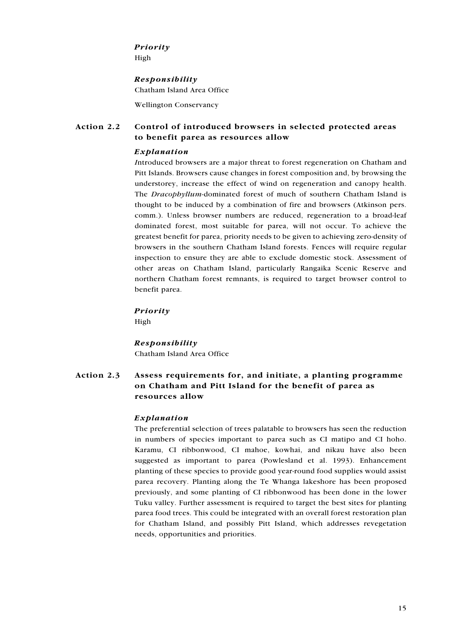#### Priority

High

#### Responsibility

Chatham Island Area Office

**Wellington Conservancy** 

#### Action 2.2 Control of introduced browsers in selected protected areas to benefit parea as resources allow

### Explanation

Introduced browsers are a major threat to forest regeneration on Chatham and Pitt Islands. Browsers cause changes in forest composition and, by browsing the understorey, increase the effect of wind on regeneration and canopy health. The Dracophyllum-dominated forest of much of southern Chatham Island is thought to be induced by a combination of fire and browsers (Atkinson pers. comm.). Unless browser numbers are reduced, regeneration to a broad-leaf dominated forest, most suitable for parea, will not occur. To achieve the greatest benefit for parea, priority needs to be given to achieving zero-density of browsers in the southern Chatham Island forests. Fences will require regular inspection to ensure they are able to exclude domestic stock. Assessment of other areas on Chatham Island, particularly Rangaika Scenic Reserve and northern Chatham forest remnants, is required to target browser control to benefit parea.

## Priority

High

## Responsibility

Chatham Island Area Office

#### Action 2.3 Assess requirements for, and initiate, a planting programme on Chatham and Pitt Island for the benefit of parea as resources allow

### Explanation

The preferential selection of trees palatable to browsers has seen the reduction in numbers of species important to parea such as CI matipo and CI hoho. Karamu, CI ribbonwood, CI mahoe, kowhai, and nikau have also been suggested as important to parea (Powlesland et al. 1993). Enhancement planting of these species to provide good year-round food supplies would assist parea recovery. Planting along the Te Whanga lakeshore has been proposed previously, and some planting of CI ribbonwood has been done in the lower Tuku valley. Further assessment is required to target the best sites for planting parea food trees. This could be integrated with an overall forest restoration plan for Chatham Island, and possibly Pitt Island, which addresses revegetation needs, opportunities and priorities.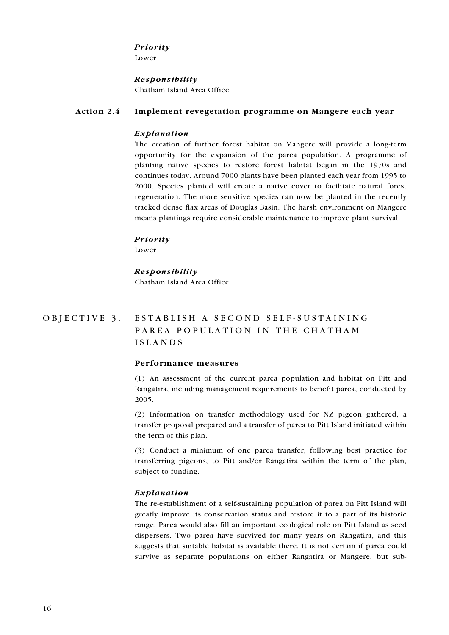#### Priority

Lower

#### Responsibility

Chatham Island Area Office

#### Action 2.4 Implement revegetation programme on Mangere each year

#### Explanation

The creation of further forest habitat on Mangere will provide a long-term opportunity for the expansion of the parea population. A programme of planting native species to restore forest habitat began in the 1970s and continues today. Around 7000 plants have been planted each year from 1995 to 2000. Species planted will create a native cover to facilitate natural forest regeneration. The more sensitive species can now be planted in the recently tracked dense flax areas of Douglas Basin. The harsh environment on Mangere means plantings require considerable maintenance to improve plant survival.

#### Priority

Lower

## Responsibility Chatham Island Area Office

#### OBJECTIVE 3. ESTABLISH A SECOND SELF-SUSTAINING PAREA POPULATION IN THE CHATHAM **ISLANDS**

### Performance measures

(1) An assessment of the current parea population and habitat on Pitt and Rangatira, including management requirements to benefit parea, conducted by 2005.

(2) Information on transfer methodology used for NZ pigeon gathered, a transfer proposal prepared and a transfer of parea to Pitt Island initiated within the term of this plan.

(3) Conduct a minimum of one parea transfer, following best practice for transferring pigeons, to Pitt and/or Rangatira within the term of the plan, subject to funding.

#### Explanation

The re-establishment of a self-sustaining population of parea on Pitt Island will greatly improve its conservation status and restore it to a part of its historic range. Parea would also fill an important ecological role on Pitt Island as seed dispersers. Two parea have survived for many years on Rangatira, and this suggests that suitable habitat is available there. It is not certain if parea could survive as separate populations on either Rangatira or Mangere, but sub-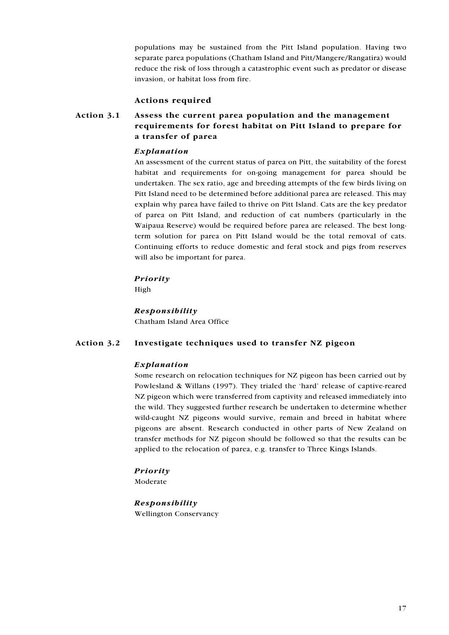populations may be sustained from the Pitt Island population. Having two separate parea populations (Chatham Island and Pitt/Mangere/Rangatira) would reduce the risk of loss through a catastrophic event such as predator or disease invasion, or habitat loss from fire.

#### **Actions required**

#### Action 3.1 Assess the current parea population and the management requirements for forest habitat on Pitt Island to prepare for a transfer of parea

#### Explanation

An assessment of the current status of parea on Pitt, the suitability of the forest habitat and requirements for on-going management for parea should be undertaken. The sex ratio, age and breeding attempts of the few birds living on Pitt Island need to be determined before additional parea are released. This may explain why parea have failed to thrive on Pitt Island. Cats are the key predator of parea on Pitt Island, and reduction of cat numbers (particularly in the Waipaua Reserve) would be required before parea are released. The best longterm solution for parea on Pitt Island would be the total removal of cats. Continuing efforts to reduce domestic and feral stock and pigs from reserves will also be important for parea.

#### Priority

High

Responsibility Chatham Island Area Office

Action 3.2 Investigate techniques used to transfer NZ pigeon

#### Explanation

Some research on relocation techniques for NZ pigeon has been carried out by Powlesland & Willans (1997). They trialed the 'hard' release of captive-reared NZ pigeon which were transferred from captivity and released immediately into the wild. They suggested further research be undertaken to determine whether wild-caught NZ pigeons would survive, remain and breed in habitat where pigeons are absent. Research conducted in other parts of New Zealand on transfer methods for NZ pigeon should be followed so that the results can be applied to the relocation of parea, e.g. transfer to Three Kings Islands.

#### Priority

Moderate

#### Responsibility

**Wellington Conservancy**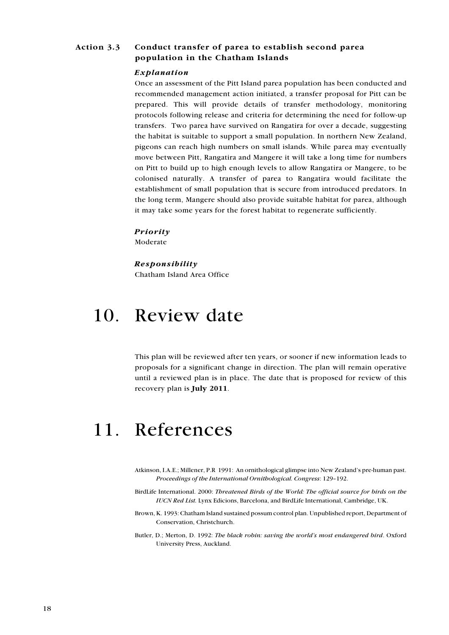#### <span id="page-17-0"></span>Action 3.3 Conduct transfer of parea to establish second parea population in the Chatham Islands

#### Explanation

Once an assessment of the Pitt Island parea population has been conducted and recommended management action initiated, a transfer proposal for Pitt can be prepared. This will provide details of transfer methodology, monitoring protocols following release and criteria for determining the need for follow-up transfers. Two parea have survived on Rangatira for over a decade, suggesting the habitat is suitable to support a small population. In northern New Zealand, pigeons can reach high numbers on small islands. While parea may eventually move between Pitt, Rangatira and Mangere it will take a long time for numbers on Pitt to build up to high enough levels to allow Rangatira or Mangere, to be colonised naturally. A transfer of parea to Rangatira would facilitate the establishment of small population that is secure from introduced predators. In the long term, Mangere should also provide suitable habitat for parea, although it may take some years for the forest habitat to regenerate sufficiently.

#### Priority

Moderate

#### Responsibility

Chatham Island Area Office

# 10. Review date

This plan will be reviewed after ten years, or sooner if new information leads to proposals for a significant change in direction. The plan will remain operative until a reviewed plan is in place. The date that is proposed for review of this recovery plan is July 2011.

# 11. References

- Atkinson, I.A.E.; Millener, P.R. 1991: An ornithological glimpse into New Zealand's pre-human past. Proceedings of the International Ornithological. Congress: 129-192.
- BirdLife International. 2000: Threatened Birds of the World: The official source for birds on the IUCN Red List. Lynx Edicions, Barcelona, and BirdLife International, Cambridge, UK.
- Brown, K. 1993: Chatham Island sustained possum control plan. Unpublished report, Department of Conservation, Christchurch.
- Butler, D.; Merton, D. 1992: The black robin: saving the world's most endangered bird. Oxford University Press, Auckland.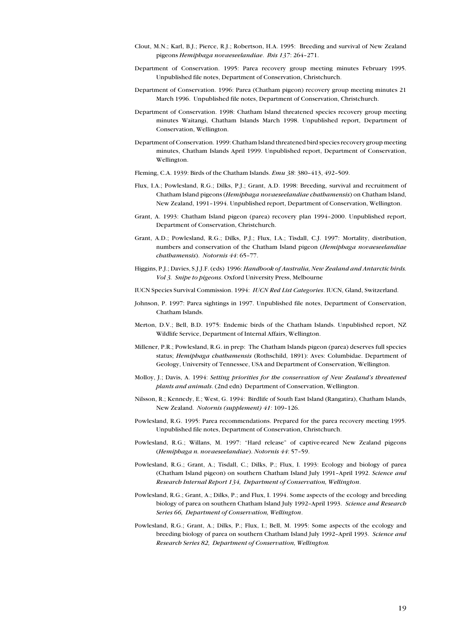- Clout, M.N.; Karl, B.J.; Pierce, R.J.; Robertson, H.A. 1995: Breeding and survival of New Zealand pigeons Hemiphaga novaeseelandiae. Ibis 137: 264-271.
- Department of Conservation. 1995: Parea recovery group meeting minutes February 1995. Unpublished file notes, Department of Conservation, Christchurch.
- Department of Conservation. 1996: Parea (Chatham pigeon) recovery group meeting minutes 21 March 1996. Unpublished file notes, Department of Conservation, Christchurch.
- Department of Conservation. 1998: Chatham Island threatened species recovery group meeting minutes Waitangi, Chatham Islands March 1998. Unpublished report, Department of Conservation, Wellington.
- Department of Conservation. 1999: Chatham Island threatened bird species recovery group meeting minutes, Chatham Islands April 1999. Unpublished report, Department of Conservation, Wellington.
- Fleming, C.A. 1939: Birds of the Chatham Islands. Emu 38: 380-413, 492-509.
- Flux, I.A.; Powlesland, R.G.; Dilks, P.J.; Grant, A.D. 1998: Breeding, survival and recruitment of Chatham Island pigeons (Hemiphaga novaeseelandiae chathamensis) on Chatham Island, New Zealand, 1991-1994. Unpublished report. Department of Conservation, Wellington.
- Grant, A. 1993: Chatham Island pigeon (parea) recovery plan 1994-2000. Unpublished report, Department of Conservation, Christchurch.
- Grant, A.D.; Powlesland, R.G.; Dilks, P.J.; Flux, I.A.; Tisdall, C.J. 1997: Mortality, distribution, numbers and conservation of the Chatham Island pigeon (Hemiphaga novaeseelandiae chathamensis). Notornis 44: 65-77.
- Higgins, P.J.; Davies, S.J.J.F. (eds) 1996: Handbook of Australia, New Zealand and Antarctic birds. Vol 3. Snibe to biggons, Oxford University Press, Melbourne
- IUCN Species Survival Commission. 1994: IUCN Red List Categories. IUCN, Gland, Switzerland.
- Johnson, P. 1997: Parea sightings in 1997. Unpublished file notes, Department of Conservation, Chatham Islands.
- Merton, D.V.; Bell, B.D. 1975: Endemic birds of the Chatham Islands. Unpublished report, NZ Wildlife Service, Department of Internal Affairs, Wellington.
- Millener, P.R.; Powlesland, R.G. in prep: The Chatham Islands pigeon (parea) deserves full species status; *Hemiphaga chathamensis* (Rothschild, 1891): Aves: Columbidae. Department of Geology, University of Tennessee, USA and Department of Conservation, Wellington.
- Molloy, J.; Davis, A. 1994: Setting priorities for the conservation of New Zealand's threatened plants and animals. (2nd edn) Department of Conservation, Wellington.
- Nilsson, R.; Kennedy, E.; West, G. 1994: Birdlife of South East Island (Rangatira), Chatham Islands, New Zealand. Notornis (supplement) 41: 109-126.
- Powlesland, R.G. 1995: Parea recommendations. Prepared for the parea recovery meeting 1995. Unpublished file notes, Department of Conservation, Christchurch.
- Powlesland, R.G.; Willans, M. 1997: "Hard release" of captive-reared New Zealand pigeons (Hemiphaga n. novaeseelandiae). Notornis 44: 57-59.
- Powlesland, R.G.; Grant, A.; Tisdall, C.; Dilks, P.; Flux, I. 1993: Ecology and biology of parea (Chatham Island pigeon) on southern Chatham Island July 1991-April 1992. Science and Research Internal Report 134, Department of Conservation, Wellington.
- Powlesland, R.G.; Grant, A.; Dilks, P.; and Flux, I. 1994. Some aspects of the ecology and breeding biology of parea on southern Chatham Island July 1992-April 1993. Science and Research Series 66, Department of Conservation, Wellington.
- Powlesland, R.G.; Grant, A.; Dilks, P.; Flux, I.; Bell, M. 1995: Some aspects of the ecology and breeding biology of parea on southern Chatham Island July 1992-April 1993. Science and Research Series 82, Department of Conservation, Wellington.